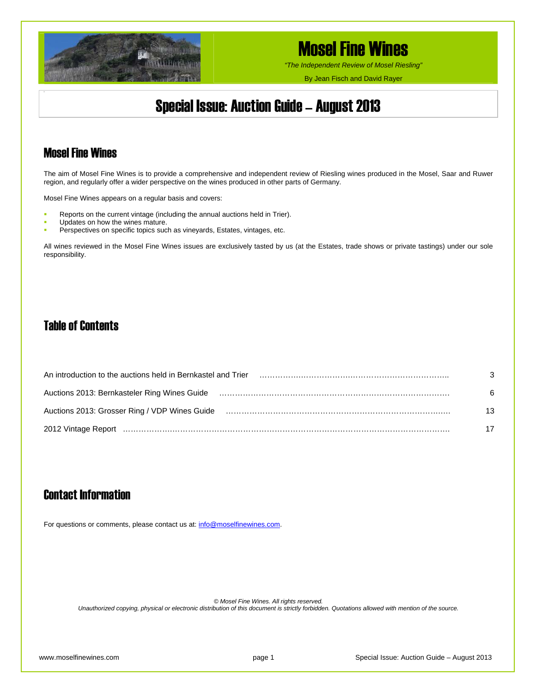

*"The Independent Review of Mosel Riesling"*

By Jean Fisch and David Rayer

## Special Issue: Auction Guide – August 2013

### Mosel Fine Wines

The aim of Mosel Fine Wines is to provide a comprehensive and independent review of Riesling wines produced in the Mosel, Saar and Ruwer region, and regularly offer a wider perspective on the wines produced in other parts of Germany.

Mosel Fine Wines appears on a regular basis and covers:

- Reports on the current vintage (including the annual auctions held in Trier).
- Updates on how the wines mature.
- Perspectives on specific topics such as vineyards, Estates, vintages, etc.

All wines reviewed in the Mosel Fine Wines issues are exclusively tasted by us (at the Estates, trade shows or private tastings) under our sole responsibility.

### Table of Contents

| An introduction to the auctions held in Bernkastel and Trier                                                  |    |
|---------------------------------------------------------------------------------------------------------------|----|
| Auctions 2013: Bernkasteler Ring Wines Guide                                                                  | 6  |
| Auctions 2013: Grosser Ring / VDP Wines Guide (and the content content content content content content of the | 13 |
|                                                                                                               |    |

### Contact Information

For questions or comments, please contact us at: [info@moselfinewines.com](mailto:info@moselfinewines.com).

*© Mosel Fine Wines. All rights reserved.* 

*Unauthorized copying, physical or electronic distribution of this document is strictly forbidden. Quotations allowed with mention of the source.*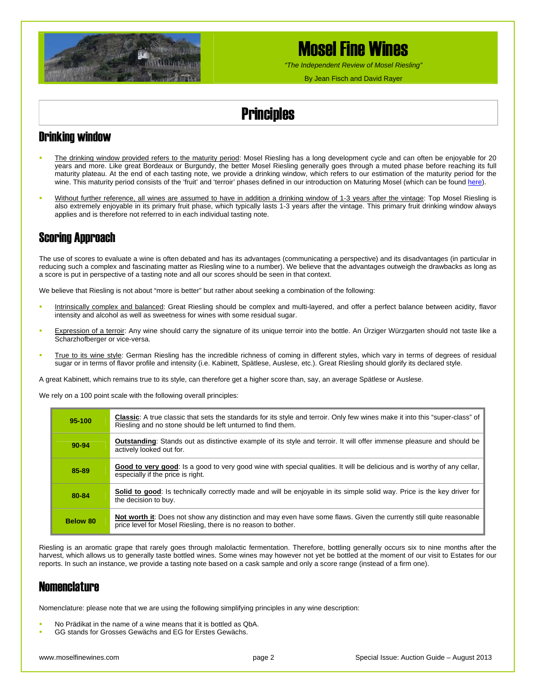

*"The Independent Review of Mosel Riesling"* 

By Jean Fisch and David Rayer

## **Principles**

### Drinking window

- The drinking window provided refers to the maturity period: Mosel Riesling has a long development cycle and can often be enjoyable for 20 years and more. Like great Bordeaux or Burgundy, the better Mosel Riesling generally goes through a muted phase before reaching its full maturity plateau. At the end of each tasting note, we provide a drinking window, which refers to our estimation of the maturity period for the wine. This maturity period consists of the 'fruit' and 'terroir' phases defined in our introduction on Maturing Mosel (which can be found [here\)](http://www.moselfinewines.com/MaturingMosel.htm).
- Without further reference, all wines are assumed to have in addition a drinking window of 1-3 years after the vintage: Top Mosel Riesling is also extremely enjoyable in its primary fruit phase, which typically lasts 1-3 years after the vintage. This primary fruit drinking window always applies and is therefore not referred to in each individual tasting note.

## Scoring Approach

The use of scores to evaluate a wine is often debated and has its advantages (communicating a perspective) and its disadvantages (in particular in reducing such a complex and fascinating matter as Riesling wine to a number). We believe that the advantages outweigh the drawbacks as long as a score is put in perspective of a tasting note and all our scores should be seen in that context.

We believe that Riesling is not about "more is better" but rather about seeking a combination of the following:

- Intrinsically complex and balanced: Great Riesling should be complex and multi-layered, and offer a perfect balance between acidity, flavor intensity and alcohol as well as sweetness for wines with some residual sugar.
- Expression of a terroir: Any wine should carry the signature of its unique terroir into the bottle. An Ürziger Würzgarten should not taste like a Scharzhofberger or vice-versa.
- True to its wine style: German Riesling has the incredible richness of coming in different styles, which vary in terms of degrees of residual sugar or in terms of flavor profile and intensity (i.e. Kabinett, Spätlese, Auslese, etc.). Great Riesling should glorify its declared style.

A great Kabinett, which remains true to its style, can therefore get a higher score than, say, an average Spätlese or Auslese.

We rely on a 100 point scale with the following overall principles:

| 95-100          | <b>Classic:</b> A true classic that sets the standards for its style and terroir. Only few wines make it into this "super-class" of<br>Riesling and no stone should be left unturned to find them. |
|-----------------|----------------------------------------------------------------------------------------------------------------------------------------------------------------------------------------------------|
| $90 - 94$       | <b>Outstanding:</b> Stands out as distinctive example of its style and terroir. It will offer immense pleasure and should be<br>actively looked out for.                                           |
| 85-89           | Good to very good: Is a good to very good wine with special qualities. It will be delicious and is worthy of any cellar,<br>especially if the price is right.                                      |
| 80-84           | <b>Solid to good:</b> Is technically correctly made and will be enjoyable in its simple solid way. Price is the key driver for<br>the decision to buy.                                             |
| <b>Below 80</b> | Not worth it: Does not show any distinction and may even have some flaws. Given the currently still quite reasonable<br>price level for Mosel Riesling, there is no reason to bother.              |

Riesling is an aromatic grape that rarely goes through malolactic fermentation. Therefore, bottling generally occurs six to nine months after the harvest, which allows us to generally taste bottled wines. Some wines may however not yet be bottled at the moment of our visit to Estates for our reports. In such an instance, we provide a tasting note based on a cask sample and only a score range (instead of a firm one).

### Nomenclature

Nomenclature: please note that we are using the following simplifying principles in any wine description:

- No Prädikat in the name of a wine means that it is bottled as QbA.
- GG stands for Grosses Gewächs and EG for Erstes Gewächs.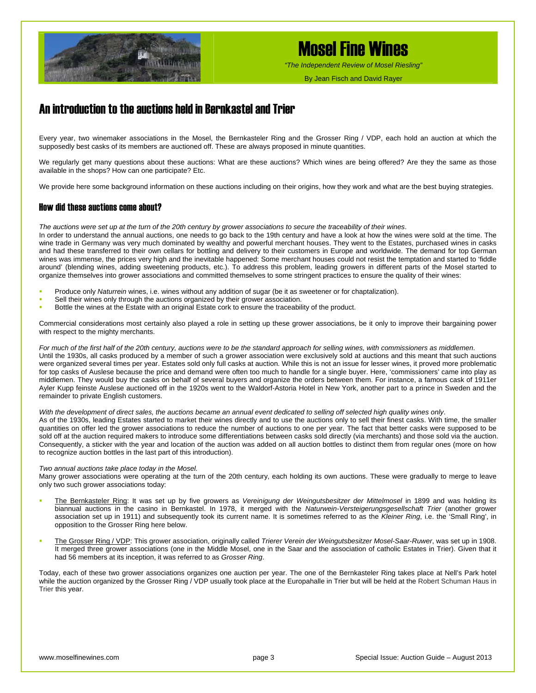

*"The Independent Review of Mosel Riesling"*

By Jean Fisch and David Rayer

## An introduction to the auctions held in Bernkastel and Trier

Every year, two winemaker associations in the Mosel, the Bernkasteler Ring and the Grosser Ring / VDP, each hold an auction at which the supposedly best casks of its members are auctioned off. These are always proposed in minute quantities.

We regularly get many questions about these auctions: What are these auctions? Which wines are being offered? Are they the same as those available in the shops? How can one participate? Etc.

We provide here some background information on these auctions including on their origins, how they work and what are the best buying strategies.

### How did these auctions come about?

*The auctions were set up at the turn of the 20th century by grower associations to secure the traceability of their wines*.

In order to understand the annual auctions, one needs to go back to the 19th century and have a look at how the wines were sold at the time. The wine trade in Germany was very much dominated by wealthy and powerful merchant houses. They went to the Estates, purchased wines in casks and had these transferred to their own cellars for bottling and delivery to their customers in Europe and worldwide. The demand for top German wines was immense, the prices very high and the inevitable happened: Some merchant houses could not resist the temptation and started to 'fiddle around' (blending wines, adding sweetening products, etc.). To address this problem, leading growers in different parts of the Mosel started to organize themselves into grower associations and committed themselves to some stringent practices to ensure the quality of their wines:

- Produce only *Naturrein* wines, i.e. wines without any addition of sugar (be it as sweetener or for chaptalization).
- Sell their wines only through the auctions organized by their grower association.
- Bottle the wines at the Estate with an original Estate cork to ensure the traceability of the product.

Commercial considerations most certainly also played a role in setting up these grower associations, be it only to improve their bargaining power with respect to the mighty merchants.

*For much of the first half of the 20th century, auctions were to be the standard approach for selling wines, with commissioners as middlemen*. Until the 1930s, all casks produced by a member of such a grower association were exclusively sold at auctions and this meant that such auctions were organized several times per year. Estates sold only full casks at auction. While this is not an issue for lesser wines, it proved more problematic for top casks of Auslese because the price and demand were often too much to handle for a single buyer. Here, 'commissioners' came into play as middlemen. They would buy the casks on behalf of several buyers and organize the orders between them. For instance, a famous cask of 1911er Ayler Kupp feinste Auslese auctioned off in the 1920s went to the Waldorf-Astoria Hotel in New York, another part to a prince in Sweden and the remainder to private English customers.

#### *With the development of direct sales, the auctions became an annual event dedicated to selling off selected high quality wines only*.

As of the 1930s, leading Estates started to market their wines directly and to use the auctions only to sell their finest casks. With time, the smaller quantities on offer led the grower associations to reduce the number of auctions to one per year. The fact that better casks were supposed to be sold off at the auction required makers to introduce some differentiations between casks sold directly (via merchants) and those sold via the auction. Consequently, a sticker with the year and location of the auction was added on all auction bottles to distinct them from regular ones (more on how to recognize auction bottles in the last part of this introduction).

#### *Two annual auctions take place today in the Mosel.*

Many grower associations were operating at the turn of the 20th century, each holding its own auctions. These were gradually to merge to leave only two such grower associations today:

- The Bernkasteler Ring: It was set up by five growers as *Vereinigung der Weingutsbesitzer der Mittelmosel* in 1899 and was holding its biannual auctions in the casino in Bernkastel. In 1978, it merged with the *Naturwein-Versteigerungsgesellschaft Trier* (another grower association set up in 1911) and subsequently took its current name. It is sometimes referred to as the *Kleiner Ring*, i.e. the 'Small Ring', in opposition to the Grosser Ring here below.
- The Grosser Ring / VDP: This grower association, originally called *Trierer Verein der Weingutsbesitzer Mosel-Saar-Ruwer*, was set up in 1908. It merged three grower associations (one in the Middle Mosel, one in the Saar and the association of catholic Estates in Trier). Given that it had 56 members at its inception, it was referred to as *Grosser Ring*.

Today, each of these two grower associations organizes one auction per year. The one of the Bernkasteler Ring takes place at Nell's Park hotel while the auction organized by the Grosser Ring / VDP usually took place at the Europahalle in Trier but will be held at the Robert Schuman Haus in Trier this year.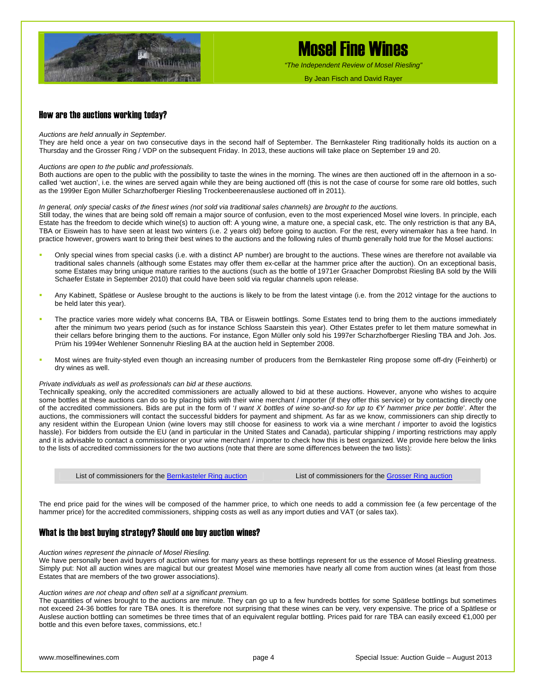

*"The Independent Review of Mosel Riesling"*

By Jean Fisch and David Rayer

### How are the auctions working today?

#### *Auctions are held annually in September.*

They are held once a year on two consecutive days in the second half of September. The Bernkasteler Ring traditionally holds its auction on a Thursday and the Grosser Ring / VDP on the subsequent Friday. In 2013, these auctions will take place on September 19 and 20.

#### *Auctions are open to the public and professionals.*

Both auctions are open to the public with the possibility to taste the wines in the morning. The wines are then auctioned off in the afternoon in a socalled 'wet auction', i.e. the wines are served again while they are being auctioned off (this is not the case of course for some rare old bottles, such as the 1999er Egon Müller Scharzhofberger Riesling Trockenbeerenauslese auctioned off in 2011).

#### *In general, only special casks of the finest wines (not sold via traditional sales channels) are brought to the auctions.*

Still today, the wines that are being sold off remain a major source of confusion, even to the most experienced Mosel wine lovers. In principle, each Estate has the freedom to decide which wine(s) to auction off: A young wine, a mature one, a special cask, etc. The only restriction is that any BA, TBA or Eiswein has to have seen at least two winters (i.e. 2 years old) before going to auction. For the rest, every winemaker has a free hand. In practice however, growers want to bring their best wines to the auctions and the following rules of thumb generally hold true for the Mosel auctions:

- Only special wines from special casks (i.e. with a distinct AP number) are brought to the auctions. These wines are therefore not available via traditional sales channels (although some Estates may offer them ex-cellar at the hammer price after the auction). On an exceptional basis, some Estates may bring unique mature rarities to the auctions (such as the bottle of 1971er Graacher Domprobst Riesling BA sold by the Willi Schaefer Estate in September 2010) that could have been sold via regular channels upon release.
- Any Kabinett, Spätlese or Auslese brought to the auctions is likely to be from the latest vintage (i.e. from the 2012 vintage for the auctions to be held later this year).
- The practice varies more widely what concerns BA, TBA or Eiswein bottlings. Some Estates tend to bring them to the auctions immediately after the minimum two years period (such as for instance Schloss Saarstein this year). Other Estates prefer to let them mature somewhat in their cellars before bringing them to the auctions. For instance, Egon Müller only sold his 1997er Scharzhofberger Riesling TBA and Joh. Jos. Prüm his 1994er Wehlener Sonnenuhr Riesling BA at the auction held in September 2008.
- Most wines are fruity-styled even though an increasing number of producers from the Bernkasteler Ring propose some off-dry (Feinherb) or dry wines as well.

#### *Private individuals as well as professionals can bid at these auctions.*

Technically speaking, only the accredited commissioners are actually allowed to bid at these auctions. However, anyone who wishes to acquire some bottles at these auctions can do so by placing bids with their wine merchant / importer (if they offer this service) or by contacting directly one of the accredited commissioners. Bids are put in the form of '*I want X bottles of wine so-and-so for up to €Y hammer price per bottle*'. After the auctions, the commissioners will contact the successful bidders for payment and shipment. As far as we know, commissioners can ship directly to any resident within the European Union (wine lovers may still choose for easiness to work via a wine merchant / importer to avoid the logistics hassle). For bidders from outside the EU (and in particular in the United States and Canada), particular shipping / importing restrictions may apply and it is advisable to contact a commissioner or your wine merchant / importer to check how this is best organized. We provide here below the links to the lists of accredited commissioners for the two auctions (note that there are some differences between the two lists):

List of commissioners for the [Bernkasteler Ring auction](http://www.bernkasteler-ring.de/images/die_kommissionaere.pdf)<br>
List of commissioners for the [Grosser Ring auction](http://www.vdp.de/de/vdp-weinversteigerungen/kommissionaere)

The end price paid for the wines will be composed of the hammer price, to which one needs to add a commission fee (a few percentage of the hammer price) for the accredited commissioners, shipping costs as well as any import duties and VAT (or sales tax).

### What is the best buying strategy? Should one buy auction wines?

#### *Auction wines represent the pinnacle of Mosel Riesling.*

We have personally been avid buyers of auction wines for many years as these bottlings represent for us the essence of Mosel Riesling greatness. Simply put: Not all auction wines are magical but our greatest Mosel wine memories have nearly all come from auction wines (at least from those Estates that are members of the two grower associations).

#### *Auction wines are not cheap and often sell at a significant premium.*

The quantities of wines brought to the auctions are minute. They can go up to a few hundreds bottles for some Spätlese bottlings but sometimes not exceed 24-36 bottles for rare TBA ones. It is therefore not surprising that these wines can be very, very expensive. The price of a Spätlese or Auslese auction bottling can sometimes be three times that of an equivalent regular bottling. Prices paid for rare TBA can easily exceed €1,000 per bottle and this even before taxes, commissions, etc.!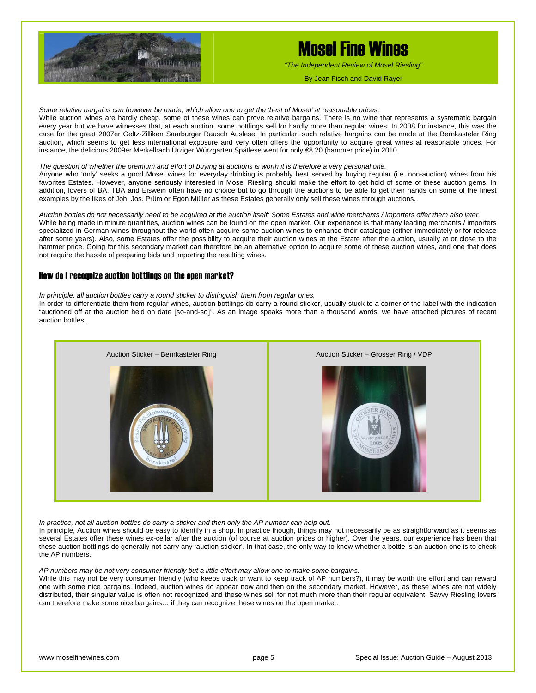

*"The Independent Review of Mosel Riesling"*

By Jean Fisch and David Rayer

*Some relative bargains can however be made, which allow one to get the 'best of Mosel' at reasonable prices.* 

While auction wines are hardly cheap, some of these wines can prove relative bargains. There is no wine that represents a systematic bargain every year but we have witnesses that, at each auction, some bottlings sell for hardly more than regular wines. In 2008 for instance, this was the case for the great 2007er Geltz-Zilliken Saarburger Rausch Auslese. In particular, such relative bargains can be made at the Bernkasteler Ring auction, which seems to get less international exposure and very often offers the opportunity to acquire great wines at reasonable prices. For instance, the delicious 2009er Merkelbach Ürziger Würzgarten Spätlese went for only €8.20 (hammer price) in 2010.

#### *The question of whether the premium and effort of buying at auctions is worth it is therefore a very personal one.*

Anyone who 'only' seeks a good Mosel wines for everyday drinking is probably best served by buying regular (i.e. non-auction) wines from his favorites Estates. However, anyone seriously interested in Mosel Riesling should make the effort to get hold of some of these auction gems. In addition, lovers of BA, TBA and Eiswein often have no choice but to go through the auctions to be able to get their hands on some of the finest examples by the likes of Joh. Jos. Prüm or Egon Müller as these Estates generally only sell these wines through auctions.

*Auction bottles do not necessarily need to be acquired at the auction itself: Some Estates and wine merchants / importers offer them also later.*  While being made in minute quantities, auction wines can be found on the open market. Our experience is that many leading merchants / importers specialized in German wines throughout the world often acquire some auction wines to enhance their catalogue (either immediately or for release after some years). Also, some Estates offer the possibility to acquire their auction wines at the Estate after the auction, usually at or close to the hammer price. Going for this secondary market can therefore be an alternative option to acquire some of these auction wines, and one that does not require the hassle of preparing bids and importing the resulting wines.

#### How do I recognize auction bottlings on the open market?

*In principle, all auction bottles carry a round sticker to distinguish them from regular ones.* 

In order to differentiate them from regular wines, auction bottlings do carry a round sticker, usually stuck to a corner of the label with the indication "auctioned off at the auction held on date [so-and-so]". As an image speaks more than a thousand words, we have attached pictures of recent auction bottles.



*In practice, not all auction bottles do carry a sticker and then only the AP number can help out.* 

In principle, Auction wines should be easy to identify in a shop. In practice though, things may not necessarily be as straightforward as it seems as several Estates offer these wines ex-cellar after the auction (of course at auction prices or higher). Over the years, our experience has been that these auction bottlings do generally not carry any 'auction sticker'. In that case, the only way to know whether a bottle is an auction one is to check the AP numbers.

*AP numbers may be not very consumer friendly but a little effort may allow one to make some bargains.* 

While this may not be very consumer friendly (who keeps track or want to keep track of AP numbers?), it may be worth the effort and can reward one with some nice bargains. Indeed, auction wines do appear now and then on the secondary market. However, as these wines are not widely distributed, their singular value is often not recognized and these wines sell for not much more than their regular equivalent. Savvy Riesling lovers can therefore make some nice bargains… if they can recognize these wines on the open market.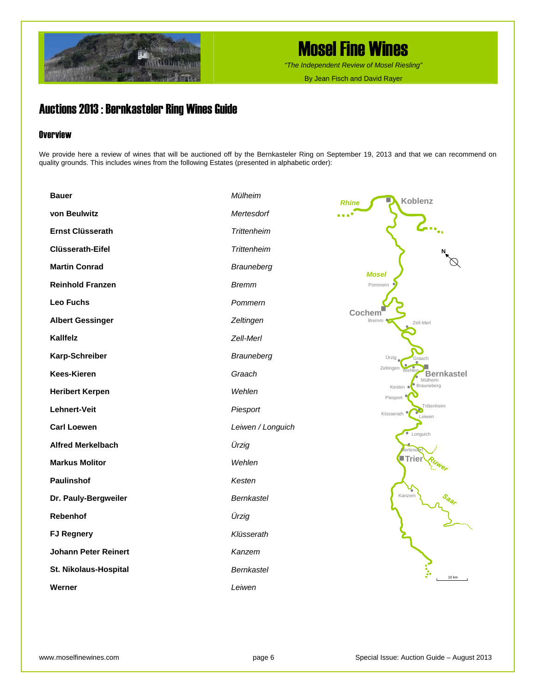

*"The Independent Review of Mosel Riesling"*

By Jean Fisch and David Rayer

## Auctions 2013 : Bernkasteler Ring Wines Guide

### **Overview**

We provide here a review of wines that will be auctioned off by the Bernkasteler Ring on September 19, 2013 and that we can recommend on quality grounds. This includes wines from the following Estates (presented in alphabetic order):

| <b>Bauer</b>                | Mülheim            | Koblenz<br>п<br><b>Rhine</b>                                 |
|-----------------------------|--------------------|--------------------------------------------------------------|
| von Beulwitz                | Mertesdorf         |                                                              |
| <b>Ernst Clüsserath</b>     | <b>Trittenheim</b> | $\mathcal{L}_{\cdot\cdot\cdot, \cdot}$                       |
| <b>Clüsserath-Eifel</b>     | <b>Trittenheim</b> |                                                              |
| <b>Martin Conrad</b>        | Brauneberg         | <b>Mosel</b>                                                 |
| <b>Reinhold Franzen</b>     | <b>Bremm</b>       | Pommern                                                      |
| <b>Leo Fuchs</b>            | Pommern            |                                                              |
| <b>Albert Gessinger</b>     | Zeltingen          | <b>Cochem</b><br>Bremm<br>Zell-Merl                          |
| <b>Kallfelz</b>             | Zell-Merl          |                                                              |
| Karp-Schreiber              | Brauneberg         | Ürzig<br>Graach                                              |
| <b>Kees-Kieren</b>          | Graach             | Zeltingen<br><b>Bernkastel</b><br>Mülheim                    |
| <b>Heribert Kerpen</b>      | Wehlen             | Brauneberg<br>Kesten ●<br>Piesport                           |
| Lehnert-Veit                | Piesport           | Trittenheim<br>Klüsserath<br>Leiwen                          |
| <b>Carl Loewen</b>          | Leiwen / Longuich  | Longuich                                                     |
| <b>Alfred Merkelbach</b>    | Ürzig              | lertesdo                                                     |
| <b>Markus Molitor</b>       | Wehlen             | ■Trier                                                       |
| <b>Paulinshof</b>           | Kesten             |                                                              |
| Dr. Pauly-Bergweiler        | <b>Bernkastel</b>  | Kanzem<br>$\mathcal{S}_{\partial_{\tilde{\mathcal{C}}_{f}}}$ |
| Rebenhof                    | Ürzig              |                                                              |
| <b>FJ Regnery</b>           | Klüsserath         |                                                              |
| <b>Johann Peter Reinert</b> | Kanzem             |                                                              |
| St. Nikolaus-Hospital       | <b>Bernkastel</b>  | 10 km                                                        |
| Werner                      | Leiwen             |                                                              |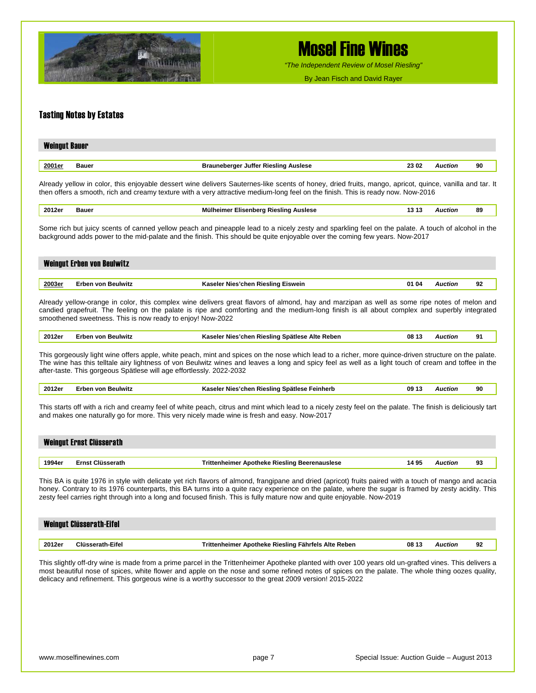

*"The Independent Review of Mosel Riesling"*

By Jean Fisch and David Rayer

### Tasting Notes by Estates

| <b>Weingut Bauer</b> |                                             |       |                |    |
|----------------------|---------------------------------------------|-------|----------------|----|
| 2001er<br>Bauer      | <b>Brauneberger Juffer Riesling Auslese</b> | 23 02 | <b>Auction</b> | 90 |

Already yellow in color, this enjoyable dessert wine delivers Sauternes-like scents of honey, dried fruits, mango, apricot, quince, vanilla and tar. It then offers a smooth, rich and creamy texture with a very attractive medium-long feel on the finish. This is ready now. Now-2016

| 2012er | <b>Bauer</b><br>. | ---<br>Auslese<br>Elisenbera Rieslina<br>ueime"<br>د. ا<br>$\sim$ $\sim$ | Auctior | 89 |
|--------|-------------------|--------------------------------------------------------------------------|---------|----|
|--------|-------------------|--------------------------------------------------------------------------|---------|----|

Some rich but juicy scents of canned yellow peach and pineapple lead to a nicely zesty and sparkling feel on the palate. A touch of alcohol in the background adds power to the mid-palate and the finish. This should be quite enjoyable over the coming few years. Now-2017

|        | <b>Weingut Erben von Beulwitz</b> |                                    |       |         |    |
|--------|-----------------------------------|------------------------------------|-------|---------|----|
|        |                                   |                                    | 01 04 |         |    |
| 2003er | Erben von Beulwitz                | Kaseler Nies'chen Riesling Eiswein |       | Auction | 92 |

Already yellow-orange in color, this complex wine delivers great flavors of almond, hay and marzipan as well as some ripe notes of melon and candied grapefruit. The feeling on the palate is ripe and comforting and the medium-long finish is all about complex and superbly integrated smoothened sweetness. This is now ready to enjoy! Now-2022

| 2012er | Reben<br>Rieslina<br>$-100$<br>Alte<br>cnen'<br>NIAS<br>soanese<br>- -<br>the contract of the contract of the | 08 | шеног | m |
|--------|---------------------------------------------------------------------------------------------------------------|----|-------|---|
|        |                                                                                                               |    |       |   |

This gorgeously light wine offers apple, white peach, mint and spices on the nose which lead to a richer, more quince-driven structure on the palate. The wine has this telltale airy lightness of von Beulwitz wines and leaves a long and spicy feel as well as a light touch of cream and toffee in the after-taste. This gorgeous Spätlese will age effortlessly. 2022-2032

| 2012er | ieulwit: | Feinherb<br>Nies<br>chen<br>Rieslina<br>$\sim$<br>,,,,,,<br>. энапеле<br>-15 | OS.<br>$\sim$ $\sim$ | . | 90 |
|--------|----------|------------------------------------------------------------------------------|----------------------|---|----|
|        |          |                                                                              |                      |   |    |

This starts off with a rich and creamy feel of white peach, citrus and mint which lead to a nicely zesty feel on the palate. The finish is deliciously tart and makes one naturally go for more. This very nicely made wine is fresh and easy. Now-2017

|        | <b>Weingut Ernst Clüsserath</b> |                                               |       |                |    |
|--------|---------------------------------|-----------------------------------------------|-------|----------------|----|
| 1994er | Ernst Clüsserath                | Trittenheimer Apotheke Riesling Beerenauslese | 14 95 | <b>Auction</b> | 93 |

This BA is quite 1976 in style with delicate yet rich flavors of almond, frangipane and dried (apricot) fruits paired with a touch of mango and acacia honey. Contrary to its 1976 counterparts, this BA turns into a quite racy experience on the palate, where the sugar is framed by zesty acidity. This zesty feel carries right through into a long and focused finish. This is fully mature now and quite enjoyable. Now-2019

|        | Weingut Clüsserath-Eifel |                                                              |         |    |
|--------|--------------------------|--------------------------------------------------------------|---------|----|
|        |                          |                                                              |         |    |
| 2012er | Clüsserath-Eifel         | Trittenheimer Apotheke Riesling Fährfels Alte Reben<br>08 13 | Auction | 92 |

This slightly off-dry wine is made from a prime parcel in the Trittenheimer Apotheke planted with over 100 years old un-grafted vines. This delivers a most beautiful nose of spices, white flower and apple on the nose and some refined notes of spices on the palate. The whole thing oozes quality, delicacy and refinement. This gorgeous wine is a worthy successor to the great 2009 version! 2015-2022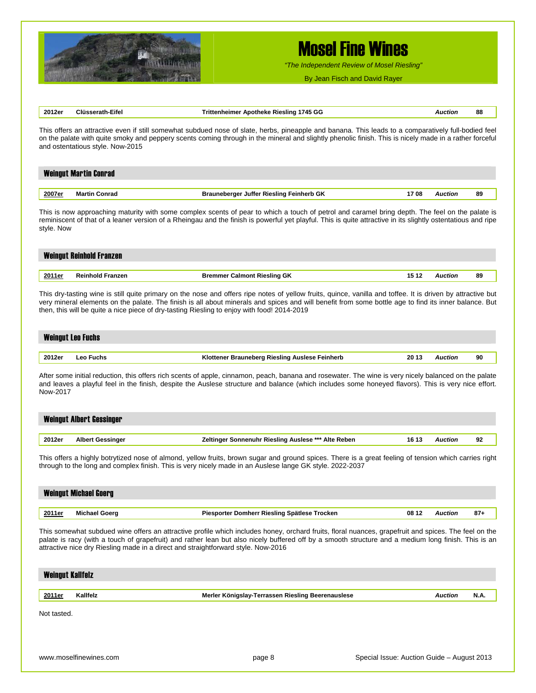

*"The Independent Review of Mosel Riesling"*

By Jean Fisch and David Rayer

| This offers an attractive even if still somewhat subdued nose of slate, herbs, pineapple and banana. This leads to a comparatively full-bodied feel<br>on the palate with quite smoky and peppery scents coming through in the mineral and slightly phenolic finish. This is nicely made in a rather forceful<br>and ostentatious style. Now-2015<br><b>Weingut Martin Conrad</b><br>2007er<br><b>Martin Conrad</b><br><b>Brauneberger Juffer Riesling Feinherb GK</b><br>1708<br><b>Auction</b><br>This is now approaching maturity with some complex scents of pear to which a touch of petrol and caramel bring depth. The feel on the palate is<br>reminiscent of that of a leaner version of a Rheingau and the finish is powerful yet playful. This is quite attractive in its slightly ostentatious and ripe<br>style. Now<br><b>Weingut Reinhold Franzen</b><br><b>Reinhold Franzen</b><br><b>Auction</b><br>2011er<br><b>Bremmer Calmont Riesling GK</b><br>15 12<br>This dry-tasting wine is still quite primary on the nose and offers ripe notes of yellow fruits, quince, vanilla and toffee. It is driven by attractive but<br>very mineral elements on the palate. The finish is all about minerals and spices and will benefit from some bottle age to find its inner balance. But<br>then, this will be quite a nice piece of dry-tasting Riesling to enjoy with food! 2014-2019<br><b>Weingut Leo Fuchs</b><br><b>Leo Fuchs</b><br>2012er<br>Klottener Brauneberg Riesling Auslese Feinherb<br>2013<br><b>Auction</b><br>After some initial reduction, this offers rich scents of apple, cinnamon, peach, banana and rosewater. The wine is very nicely balanced on the palate<br>and leaves a playful feel in the finish, despite the Auslese structure and balance (which includes some honeyed flavors). This is very nice effort.<br>Now-2017<br><b>Weingut Albert Gessinger</b><br>2012er<br><b>Albert Gessinger</b><br>Zeltinger Sonnenuhr Riesling Auslese *** Alte Reben<br>16 13<br><b>Auction</b><br>This offers a highly botrytized nose of almond, yellow fruits, brown sugar and ground spices. There is a great feeling of tension which carries right<br>through to the long and complex finish. This is very nicely made in an Auslese lange GK style. 2022-2037<br><b>Weingut Michael Goerg</b><br>2011er<br><b>Michael Goerg</b><br>Piesporter Domherr Riesling Spätlese Trocken<br>08 12<br><b>Auction</b><br>This somewhat subdued wine offers an attractive profile which includes honey, orchard fruits, floral nuances, grapefruit and spices. The feel on the<br>palate is racy (with a touch of grapefruit) and rather lean but also nicely buffered off by a smooth structure and a medium long finish. This is an<br>attractive nice dry Riesling made in a direct and straightforward style. Now-2016<br><b>Weingut Kallfelz</b><br>Kallfelz<br>2011er<br>Merler Königslay-Terrassen Riesling Beerenauslese<br><b>Auction</b> | 2012er | <b>Clüsserath-Eifel</b> | Trittenheimer Apotheke Riesling 1745 GG | <b>Auction</b> | 88     |
|-----------------------------------------------------------------------------------------------------------------------------------------------------------------------------------------------------------------------------------------------------------------------------------------------------------------------------------------------------------------------------------------------------------------------------------------------------------------------------------------------------------------------------------------------------------------------------------------------------------------------------------------------------------------------------------------------------------------------------------------------------------------------------------------------------------------------------------------------------------------------------------------------------------------------------------------------------------------------------------------------------------------------------------------------------------------------------------------------------------------------------------------------------------------------------------------------------------------------------------------------------------------------------------------------------------------------------------------------------------------------------------------------------------------------------------------------------------------------------------------------------------------------------------------------------------------------------------------------------------------------------------------------------------------------------------------------------------------------------------------------------------------------------------------------------------------------------------------------------------------------------------------------------------------------------------------------------------------------------------------------------------------------------------------------------------------------------------------------------------------------------------------------------------------------------------------------------------------------------------------------------------------------------------------------------------------------------------------------------------------------------------------------------------------------------------------------------------------------------------------------------------------------------------------------------------------------------------------------------------------------------------------------------------------------------------------------------------------------------------------------------------------------------------------------------------------------------------------------------------------------------------------------------------------------------------------------------------------------------|--------|-------------------------|-----------------------------------------|----------------|--------|
|                                                                                                                                                                                                                                                                                                                                                                                                                                                                                                                                                                                                                                                                                                                                                                                                                                                                                                                                                                                                                                                                                                                                                                                                                                                                                                                                                                                                                                                                                                                                                                                                                                                                                                                                                                                                                                                                                                                                                                                                                                                                                                                                                                                                                                                                                                                                                                                                                                                                                                                                                                                                                                                                                                                                                                                                                                                                                                                                                                             |        |                         |                                         |                |        |
|                                                                                                                                                                                                                                                                                                                                                                                                                                                                                                                                                                                                                                                                                                                                                                                                                                                                                                                                                                                                                                                                                                                                                                                                                                                                                                                                                                                                                                                                                                                                                                                                                                                                                                                                                                                                                                                                                                                                                                                                                                                                                                                                                                                                                                                                                                                                                                                                                                                                                                                                                                                                                                                                                                                                                                                                                                                                                                                                                                             |        |                         |                                         |                |        |
|                                                                                                                                                                                                                                                                                                                                                                                                                                                                                                                                                                                                                                                                                                                                                                                                                                                                                                                                                                                                                                                                                                                                                                                                                                                                                                                                                                                                                                                                                                                                                                                                                                                                                                                                                                                                                                                                                                                                                                                                                                                                                                                                                                                                                                                                                                                                                                                                                                                                                                                                                                                                                                                                                                                                                                                                                                                                                                                                                                             |        |                         |                                         |                | 89     |
|                                                                                                                                                                                                                                                                                                                                                                                                                                                                                                                                                                                                                                                                                                                                                                                                                                                                                                                                                                                                                                                                                                                                                                                                                                                                                                                                                                                                                                                                                                                                                                                                                                                                                                                                                                                                                                                                                                                                                                                                                                                                                                                                                                                                                                                                                                                                                                                                                                                                                                                                                                                                                                                                                                                                                                                                                                                                                                                                                                             |        |                         |                                         |                |        |
|                                                                                                                                                                                                                                                                                                                                                                                                                                                                                                                                                                                                                                                                                                                                                                                                                                                                                                                                                                                                                                                                                                                                                                                                                                                                                                                                                                                                                                                                                                                                                                                                                                                                                                                                                                                                                                                                                                                                                                                                                                                                                                                                                                                                                                                                                                                                                                                                                                                                                                                                                                                                                                                                                                                                                                                                                                                                                                                                                                             |        |                         |                                         |                |        |
|                                                                                                                                                                                                                                                                                                                                                                                                                                                                                                                                                                                                                                                                                                                                                                                                                                                                                                                                                                                                                                                                                                                                                                                                                                                                                                                                                                                                                                                                                                                                                                                                                                                                                                                                                                                                                                                                                                                                                                                                                                                                                                                                                                                                                                                                                                                                                                                                                                                                                                                                                                                                                                                                                                                                                                                                                                                                                                                                                                             |        |                         |                                         |                | 89     |
|                                                                                                                                                                                                                                                                                                                                                                                                                                                                                                                                                                                                                                                                                                                                                                                                                                                                                                                                                                                                                                                                                                                                                                                                                                                                                                                                                                                                                                                                                                                                                                                                                                                                                                                                                                                                                                                                                                                                                                                                                                                                                                                                                                                                                                                                                                                                                                                                                                                                                                                                                                                                                                                                                                                                                                                                                                                                                                                                                                             |        |                         |                                         |                |        |
|                                                                                                                                                                                                                                                                                                                                                                                                                                                                                                                                                                                                                                                                                                                                                                                                                                                                                                                                                                                                                                                                                                                                                                                                                                                                                                                                                                                                                                                                                                                                                                                                                                                                                                                                                                                                                                                                                                                                                                                                                                                                                                                                                                                                                                                                                                                                                                                                                                                                                                                                                                                                                                                                                                                                                                                                                                                                                                                                                                             |        |                         |                                         |                |        |
|                                                                                                                                                                                                                                                                                                                                                                                                                                                                                                                                                                                                                                                                                                                                                                                                                                                                                                                                                                                                                                                                                                                                                                                                                                                                                                                                                                                                                                                                                                                                                                                                                                                                                                                                                                                                                                                                                                                                                                                                                                                                                                                                                                                                                                                                                                                                                                                                                                                                                                                                                                                                                                                                                                                                                                                                                                                                                                                                                                             |        |                         |                                         |                | 90     |
|                                                                                                                                                                                                                                                                                                                                                                                                                                                                                                                                                                                                                                                                                                                                                                                                                                                                                                                                                                                                                                                                                                                                                                                                                                                                                                                                                                                                                                                                                                                                                                                                                                                                                                                                                                                                                                                                                                                                                                                                                                                                                                                                                                                                                                                                                                                                                                                                                                                                                                                                                                                                                                                                                                                                                                                                                                                                                                                                                                             |        |                         |                                         |                |        |
|                                                                                                                                                                                                                                                                                                                                                                                                                                                                                                                                                                                                                                                                                                                                                                                                                                                                                                                                                                                                                                                                                                                                                                                                                                                                                                                                                                                                                                                                                                                                                                                                                                                                                                                                                                                                                                                                                                                                                                                                                                                                                                                                                                                                                                                                                                                                                                                                                                                                                                                                                                                                                                                                                                                                                                                                                                                                                                                                                                             |        |                         |                                         |                | 92     |
|                                                                                                                                                                                                                                                                                                                                                                                                                                                                                                                                                                                                                                                                                                                                                                                                                                                                                                                                                                                                                                                                                                                                                                                                                                                                                                                                                                                                                                                                                                                                                                                                                                                                                                                                                                                                                                                                                                                                                                                                                                                                                                                                                                                                                                                                                                                                                                                                                                                                                                                                                                                                                                                                                                                                                                                                                                                                                                                                                                             |        |                         |                                         |                |        |
|                                                                                                                                                                                                                                                                                                                                                                                                                                                                                                                                                                                                                                                                                                                                                                                                                                                                                                                                                                                                                                                                                                                                                                                                                                                                                                                                                                                                                                                                                                                                                                                                                                                                                                                                                                                                                                                                                                                                                                                                                                                                                                                                                                                                                                                                                                                                                                                                                                                                                                                                                                                                                                                                                                                                                                                                                                                                                                                                                                             |        |                         |                                         |                |        |
|                                                                                                                                                                                                                                                                                                                                                                                                                                                                                                                                                                                                                                                                                                                                                                                                                                                                                                                                                                                                                                                                                                                                                                                                                                                                                                                                                                                                                                                                                                                                                                                                                                                                                                                                                                                                                                                                                                                                                                                                                                                                                                                                                                                                                                                                                                                                                                                                                                                                                                                                                                                                                                                                                                                                                                                                                                                                                                                                                                             |        |                         |                                         |                | $87 +$ |
|                                                                                                                                                                                                                                                                                                                                                                                                                                                                                                                                                                                                                                                                                                                                                                                                                                                                                                                                                                                                                                                                                                                                                                                                                                                                                                                                                                                                                                                                                                                                                                                                                                                                                                                                                                                                                                                                                                                                                                                                                                                                                                                                                                                                                                                                                                                                                                                                                                                                                                                                                                                                                                                                                                                                                                                                                                                                                                                                                                             |        |                         |                                         |                |        |
|                                                                                                                                                                                                                                                                                                                                                                                                                                                                                                                                                                                                                                                                                                                                                                                                                                                                                                                                                                                                                                                                                                                                                                                                                                                                                                                                                                                                                                                                                                                                                                                                                                                                                                                                                                                                                                                                                                                                                                                                                                                                                                                                                                                                                                                                                                                                                                                                                                                                                                                                                                                                                                                                                                                                                                                                                                                                                                                                                                             |        |                         |                                         |                |        |
|                                                                                                                                                                                                                                                                                                                                                                                                                                                                                                                                                                                                                                                                                                                                                                                                                                                                                                                                                                                                                                                                                                                                                                                                                                                                                                                                                                                                                                                                                                                                                                                                                                                                                                                                                                                                                                                                                                                                                                                                                                                                                                                                                                                                                                                                                                                                                                                                                                                                                                                                                                                                                                                                                                                                                                                                                                                                                                                                                                             |        |                         |                                         |                | N.A.   |
| Not tasted.                                                                                                                                                                                                                                                                                                                                                                                                                                                                                                                                                                                                                                                                                                                                                                                                                                                                                                                                                                                                                                                                                                                                                                                                                                                                                                                                                                                                                                                                                                                                                                                                                                                                                                                                                                                                                                                                                                                                                                                                                                                                                                                                                                                                                                                                                                                                                                                                                                                                                                                                                                                                                                                                                                                                                                                                                                                                                                                                                                 |        |                         |                                         |                |        |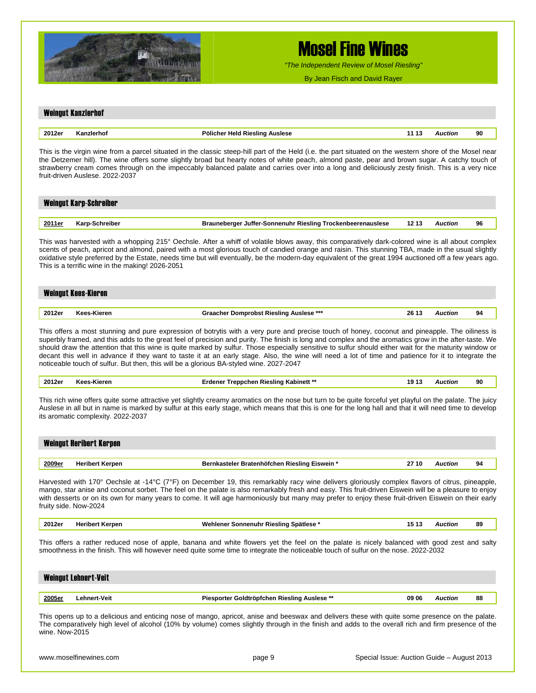

*"The Independent Review of Mosel Riesling"*

By Jean Fisch and David Rayer

## Weingut Kanzlerhof **2012er Kanzlerhof Pölicher Held Riesling Auslese 11 13** *Auction* **90**  This is the virgin wine from a parcel situated in the classic steep-hill part of the Held (i.e. the part situated on the western shore of the Mosel near the Detzemer hill). The wine offers some slightly broad but hearty notes of white peach, almond paste, pear and brown sugar. A catchy touch of strawberry cream comes through on the impeccably balanced palate and carries over into a long and deliciously zesty finish. This is a very nice fruit-driven Auslese. 2022-2037 Weingut Karp-Schreiber **2011er Karp-Schreiber Brauneberger Juffer-Sonnenuhr Riesling Trockenbeerenauslese 12 13** *Auction* **96**  This was harvested with a whopping 215° Oechsle. After a whiff of volatile blows away, this comparatively dark-colored wine is all about complex scents of peach, apricot and almond, paired with a most glorious touch of candied orange and raisin. This stunning TBA, made in the usual slightly oxidative style preferred by the Estate, needs time but will eventually, be the modern-day equivalent of the great 1994 auctioned off a few years ago. This is a terrific wine in the making! 2026-2051 Weingut Kees-Kieren **2012er Kees-Kieren Graacher Domprobst Riesling Auslese \*\*\* 26 13** *Auction* **94**  This offers a most stunning and pure expression of botrytis with a very pure and precise touch of honey, coconut and pineapple. The oiliness is superbly framed, and this adds to the great feel of precision and purity. The finish is long and complex and the aromatics grow in the after-taste. We should draw the attention that this wine is quite marked by sulfur. Those especially sensitive to sulfur should either wait for the maturity window or decant this well in advance if they want to taste it at an early stage. Also, the wine will need a lot of time and patience for it to integrate the noticeable touch of sulfur. But then, this will be a glorious BA-styled wine. 2027-2047 **2012er Kees-Kieren Erdener Treppchen Riesling Kabinett \*\* 19 13** *Auction* **90**  This rich wine offers quite some attractive yet slightly creamy aromatics on the nose but turn to be quite forceful yet playful on the palate. The juicy Auslese in all but in name is marked by sulfur at this early stage, which means that this is one for the long hall and that it will need time to develop its aromatic complexity. 2022-2037 Weingut Heribert Kerpen **2009er Heribert Kerpen Bernkasteler Bratenhöfchen Riesling Eiswein \* 27 10** *Auction* **94**  Harvested with 170° Oechsle at -14°C (7°F) on December 19, this remarkably racy wine delivers gloriously complex flavors of citrus, pineapple, mango, star anise and coconut sorbet. The feel on the palate is also remarkably fresh and easy. This fruit-driven Eiswein will be a pleasure to enjoy with desserts or on its own for many years to come. It will age harmoniously but many may prefer to enjoy these fruit-driven Eiswein on their early fruity side. Now-2024 **2012er Heribert Kerpen Wehlener Sonnenuhr Riesling Spätlese \* 15 13** *Auction* **89**  This offers a rather reduced nose of apple, banana and white flowers yet the feel on the palate is nicely balanced with good zest and salty smoothness in the finish. This will however need quite some time to integrate the noticeable touch of sulfur on the nose. 2022-2032 Weingut Lehnert-Veit **2005er Lehnert-Veit Piesporter Goldtröpfchen Riesling Auslese \*\* 09 06** *Auction* **88**  This opens up to a delicious and enticing nose of mango, apricot, anise and beeswax and delivers these with quite some presence on the palate. The comparatively high level of alcohol (10% by volume) comes slightly through in the finish and adds to the overall rich and firm presence of the wine. Now-2015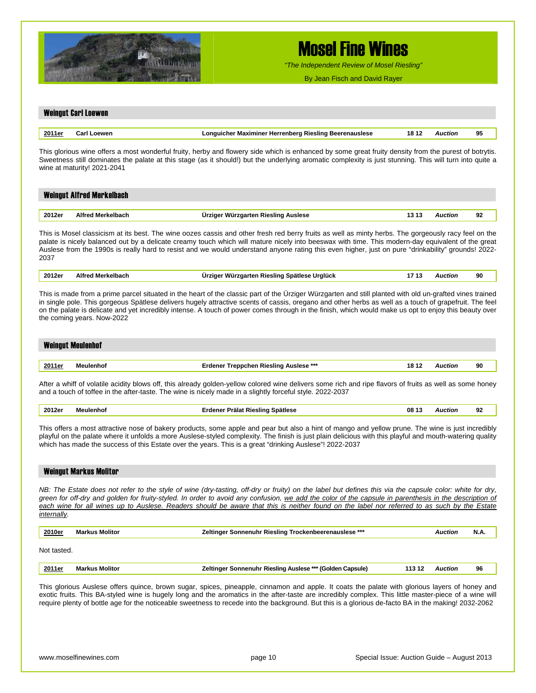

*"The Independent Review of Mosel Riesling"*

By Jean Fisch and David Rayer

## Weingut Carl Loewen **2011er Carl Loewen Longuicher Maximiner Herrenberg Riesling Beerenauslese 18 12** *Auction* **95**  This glorious wine offers a most wonderful fruity, herby and flowery side which is enhanced by some great fruity density from the purest of botrytis. Sweetness still dominates the palate at this stage (as it should!) but the underlying aromatic complexity is just stunning. This will turn into quite a wine at maturity! 2021-2041 Weingut Alfred Merkelbach **2012er Alfred Merkelbach Ürziger Würzgarten Riesling Auslese 13 13** *Auction* **92**  This is Mosel classicism at its best. The wine oozes cassis and other fresh red berry fruits as well as minty herbs. The gorgeously racy feel on the palate is nicely balanced out by a delicate creamy touch which will mature nicely into beeswax with time. This modern-day equivalent of the great Auslese from the 1990s is really hard to resist and we would understand anyone rating this even higher, just on pure "drinkability" grounds! 2022- 2037 **2012er Alfred Merkelbach Ürziger Würzgarten Riesling Spätlese Urglück 17 13** *Auction* **90**  This is made from a prime parcel situated in the heart of the classic part of the Ürziger Würzgarten and still planted with old un-grafted vines trained in single pole. This gorgeous Spätlese delivers hugely attractive scents of cassis, oregano and other herbs as well as a touch of grapefruit. The feel on the palate is delicate and yet incredibly intense. A touch of power comes through in the finish, which would make us opt to enjoy this beauty over the coming years. Now-2022 Weingut Meulenhof **2011er Meulenhof Erdener Treppchen Riesling Auslese \*\*\* 18 12** *Auction* **90**  After a whiff of volatile acidity blows off, this already golden-yellow colored wine delivers some rich and ripe flavors of fruits as well as some honey and a touch of toffee in the after-taste. The wine is nicely made in a slightly forceful style. 2022-2037 **2012er Meulenhof Erdener Prälat Riesling Spätlese 08 13** *Auction* **92**  This offers a most attractive nose of bakery products, some apple and pear but also a hint of mango and yellow prune. The wine is just incredibly playful on the palate where it unfolds a more Auslese-styled complexity. The finish is just plain delicious with this playful and mouth-watering quality which has made the success of this Estate over the years. This is a great "drinking Auslese"! 2022-2037 Weingut Markus Molitor *NB: The Estate does not refer to the style of wine (dry-tasting, off-dry or fruity) on the label but defines this via the capsule color: white for dry, green for off-dry and golden for fruity-styled. In order to avoid any confusion, we add the color of the capsule in parenthesis in the description of each wine for all wines up to Auslese. Readers should be aware that this is neither found on the label nor referred to as such by the Estate internally.*  **2010er Markus Molitor Zeltinger Sonnenuhr Riesling Trockenbeerenauslese \*\*\*** *Auction* **N.A.**

Not tasted.

|  | 2011er | Molito<br>. KULT | ' (Golden<br>Capsule)<br>Sonnenuhr<br><b>Riesling</b><br><b>Auslese</b><br>. . | . .<br>. . | Auction | 96 |
|--|--------|------------------|--------------------------------------------------------------------------------|------------|---------|----|
|--|--------|------------------|--------------------------------------------------------------------------------|------------|---------|----|

This glorious Auslese offers quince, brown sugar, spices, pineapple, cinnamon and apple. It coats the palate with glorious layers of honey and exotic fruits. This BA-styled wine is hugely long and the aromatics in the after-taste are incredibly complex. This little master-piece of a wine will require plenty of bottle age for the noticeable sweetness to recede into the background. But this is a glorious de-facto BA in the making! 2032-2062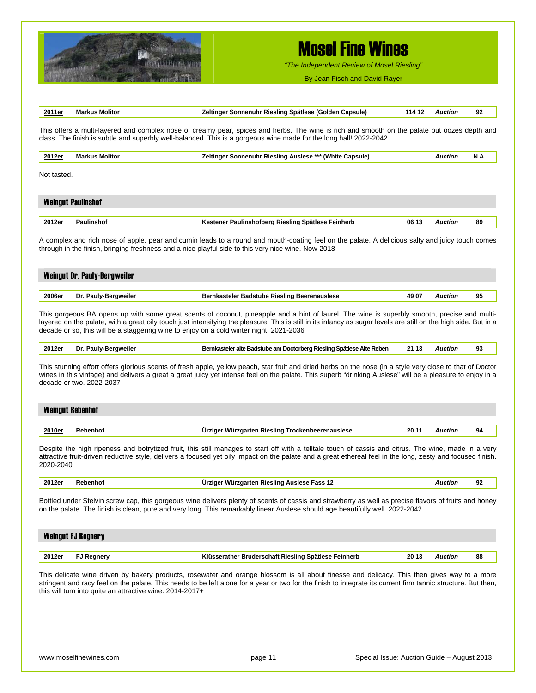

*"The Independent Review of Mosel Riesling"*

By Jean Fisch and David Rayer

| 2011er                                                                                                                                                        | <b>Markus Molitor</b>                                                                                                                       | Zeltinger Sonnenuhr Riesling Spätlese (Golden Capsule)                                                                                                                                                                                                                                                                                                                                                      | 114 12 | <b>Auction</b> | 92   |
|---------------------------------------------------------------------------------------------------------------------------------------------------------------|---------------------------------------------------------------------------------------------------------------------------------------------|-------------------------------------------------------------------------------------------------------------------------------------------------------------------------------------------------------------------------------------------------------------------------------------------------------------------------------------------------------------------------------------------------------------|--------|----------------|------|
|                                                                                                                                                               |                                                                                                                                             | This offers a multi-layered and complex nose of creamy pear, spices and herbs. The wine is rich and smooth on the palate but oozes depth and<br>class. The finish is subtle and superbly well-balanced. This is a gorgeous wine made for the long hall! 2022-2042                                                                                                                                           |        |                |      |
| 2012er                                                                                                                                                        | <b>Markus Molitor</b>                                                                                                                       | Zeltinger Sonnenuhr Riesling Auslese *** (White Capsule)                                                                                                                                                                                                                                                                                                                                                    |        | <b>Auction</b> | N.A. |
| Not tasted.                                                                                                                                                   |                                                                                                                                             |                                                                                                                                                                                                                                                                                                                                                                                                             |        |                |      |
|                                                                                                                                                               | <b>Weingut Paulinshof</b>                                                                                                                   |                                                                                                                                                                                                                                                                                                                                                                                                             |        |                |      |
| 2012er                                                                                                                                                        | <b>Paulinshof</b>                                                                                                                           | Kestener Paulinshofberg Riesling Spätlese Feinherb                                                                                                                                                                                                                                                                                                                                                          | 06 13  | <b>Auction</b> | 89   |
|                                                                                                                                                               |                                                                                                                                             | A complex and rich nose of apple, pear and cumin leads to a round and mouth-coating feel on the palate. A delicious salty and juicy touch comes<br>through in the finish, bringing freshness and a nice playful side to this very nice wine. Now-2018                                                                                                                                                       |        |                |      |
|                                                                                                                                                               | <b>Weingut Dr. Pauly-Bergweiler</b>                                                                                                         |                                                                                                                                                                                                                                                                                                                                                                                                             |        |                |      |
| 2006er                                                                                                                                                        | Dr. Pauly-Bergweiler                                                                                                                        | <b>Bernkasteler Badstube Riesling Beerenauslese</b>                                                                                                                                                                                                                                                                                                                                                         | 49 07  | <b>Auction</b> | 95   |
|                                                                                                                                                               |                                                                                                                                             | This gorgeous BA opens up with some great scents of coconut, pineapple and a hint of laurel. The wine is superbly smooth, precise and multi-<br>layered on the palate, with a great oily touch just intensifying the pleasure. This is still in its infancy as sugar levels are still on the high side. But in a<br>decade or so, this will be a staggering wine to enjoy on a cold winter night! 2021-2036 |        |                |      |
| 2012er                                                                                                                                                        | Dr. Pauly-Bergweiler                                                                                                                        | Bernkasteler alte Badstube am Doctorberg Riesling Spätlese Alte Reben                                                                                                                                                                                                                                                                                                                                       | 21 13  | <b>Auction</b> | 93   |
|                                                                                                                                                               | decade or two. 2022-2037<br><b>Weingut Rebenhof</b>                                                                                         | This stunning effort offers glorious scents of fresh apple, yellow peach, star fruit and dried herbs on the nose (in a style very close to that of Doctor<br>wines in this vintage) and delivers a great a great juicy yet intense feel on the palate. This superb "drinking Auslese" will be a pleasure to enjoy in a                                                                                      |        |                |      |
| 2010er                                                                                                                                                        | Rebenhof                                                                                                                                    | Ürziger Würzgarten Riesling Trockenbeerenauslese                                                                                                                                                                                                                                                                                                                                                            | 20 11  | <b>Auction</b> | 94   |
| 2020-2040                                                                                                                                                     |                                                                                                                                             | Despite the high ripeness and botrytized fruit, this still manages to start off with a telltale touch of cassis and citrus. The wine, made in a very<br>attractive fruit-driven reductive style, delivers a focused yet oily impact on the palate and a great ethereal feel in the long, zesty and focused finish.                                                                                          |        |                |      |
| 2012er                                                                                                                                                        | Rebenhof                                                                                                                                    | Urziger Würzgarten Riesling Auslese Fass 12                                                                                                                                                                                                                                                                                                                                                                 |        | <b>Auction</b> | 92   |
|                                                                                                                                                               |                                                                                                                                             | Bottled under Stelvin screw cap, this gorgeous wine delivers plenty of scents of cassis and strawberry as well as precise flavors of fruits and honey<br>on the palate. The finish is clean, pure and very long. This remarkably linear Auslese should age beautifully well. 2022-2042                                                                                                                      |        |                |      |
|                                                                                                                                                               | <b>Weingut FJ Regnery</b>                                                                                                                   |                                                                                                                                                                                                                                                                                                                                                                                                             |        |                |      |
| 2012er                                                                                                                                                        | <b>FJ Regnery</b>                                                                                                                           | Klüsserather Bruderschaft Riesling Spätlese Feinherb                                                                                                                                                                                                                                                                                                                                                        | 20 13  | <b>Auction</b> | 88   |
| stringent and racy feel on the palate. This needs to be left alone for a year or two for the finish to integrate its current firm tannic structure. But then, | This delicate wine driven by bakery products, rosewater and orange blossom is all about finesse and delicacy. This then gives way to a more |                                                                                                                                                                                                                                                                                                                                                                                                             |        |                |      |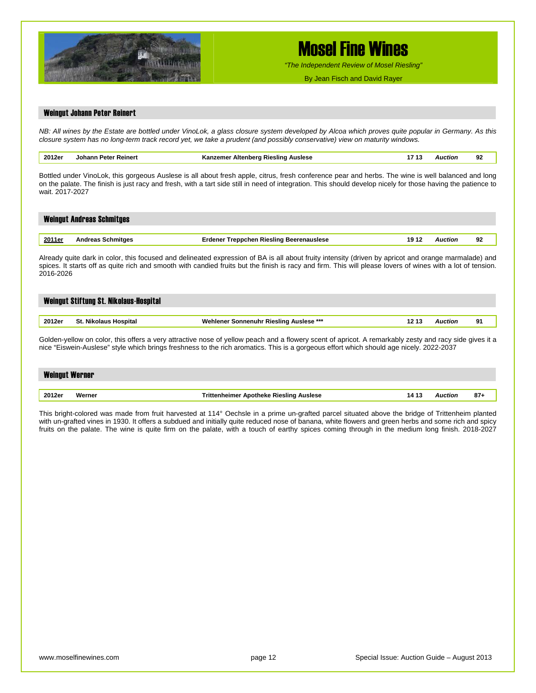

*"The Independent Review of Mosel Riesling"*

By Jean Fisch and David Rayer

#### Weingut Johann Peter Reinert

*NB: All wines by the Estate are bottled under VinoLok, a glass closure system developed by Alcoa which proves quite popular in Germany. As this closure system has no long-term track record yet, we take a prudent (and possibly conservative) view on maturity windows.* 

|  | 2012er | Reiner'<br>cιс | Auslese<br>sıını<br>anna | . . |  | o٥<br>-94 |
|--|--------|----------------|--------------------------|-----|--|-----------|
|--|--------|----------------|--------------------------|-----|--|-----------|

Bottled under VinoLok, this gorgeous Auslese is all about fresh apple, citrus, fresh conference pear and herbs. The wine is well balanced and long on the palate. The finish is just racy and fresh, with a tart side still in need of integration. This should develop nicely for those having the patience to wait. 2017-2027

|        | <b>Weingut Andreas Schmitges</b> |                                                 |       |         |    |  |  |  |  |
|--------|----------------------------------|-------------------------------------------------|-------|---------|----|--|--|--|--|
|        |                                  |                                                 |       |         |    |  |  |  |  |
| 2011er | <b>Andreas Schmitges</b>         | <b>Erdener Treppchen Riesling Beerenauslese</b> | 10 12 | Auction | 92 |  |  |  |  |

Already quite dark in color, this focused and delineated expression of BA is all about fruity intensity (driven by apricot and orange marmalade) and spices. It starts off as quite rich and smooth with candied fruits but the finish is racy and firm. This will please lovers of wines with a lot of tension. 2016-2026

|                                                                                   | Weingut Stiftung St. Nikolaus-Hospital |    |  |  |  |  |  |  |  |
|-----------------------------------------------------------------------------------|----------------------------------------|----|--|--|--|--|--|--|--|
| 2012er<br>St. Nikolaus Hospital<br><b>Wehlener Sonnenuhr Riesling Auslese ***</b> | Auction                                | 91 |  |  |  |  |  |  |  |

Golden-yellow on color, this offers a very attractive nose of yellow peach and a flowery scent of apricot. A remarkably zesty and racy side gives it a nice "Eiswein-Auslese" style which brings freshness to the rich aromatics. This is a gorgeous effort which should age nicely. 2022-2037

| <b>Weingut Werner</b> |        |                                                         |                |       |
|-----------------------|--------|---------------------------------------------------------|----------------|-------|
|                       |        |                                                         |                |       |
| 2012er                | Werner | <b>Trittenheimer Apotheke Riesling Auslese</b><br>14 13 | <b>Auction</b> | $87+$ |

This bright-colored was made from fruit harvested at 114° Oechsle in a prime un-grafted parcel situated above the bridge of Trittenheim planted with un-grafted vines in 1930. It offers a subdued and initially quite reduced nose of banana, white flowers and green herbs and some rich and spicy fruits on the palate. The wine is quite firm on the palate, with a touch of earthy spices coming through in the medium long finish. 2018-2027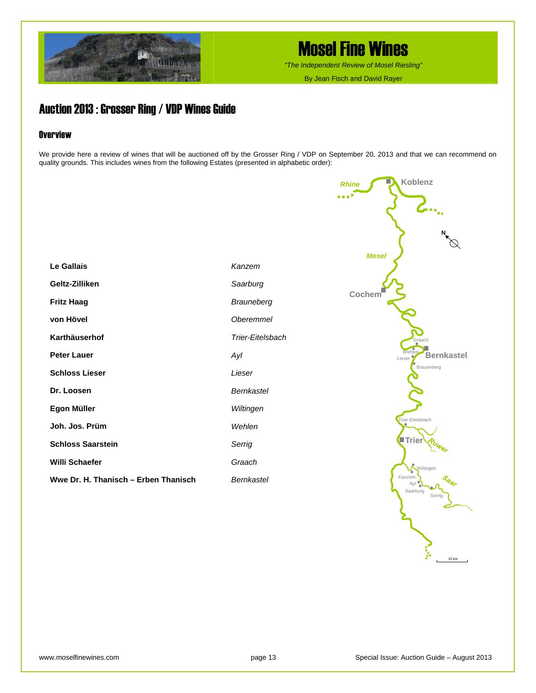

*"The Independent Review of Mosel Riesling"*

By Jean Fisch and David Rayer

*Rhine*

## Auction 2013 : Grosser Ring / VDP Wines Guide

### **Overview**

We provide here a review of wines that will be auctioned off by the Grosser Ring / VDP on September 20, 2013 and that we can recommend on quality grounds. This includes wines from the following Estates (presented in alphabetic order):

|                                      |                   | <b>Mosel</b>        |
|--------------------------------------|-------------------|---------------------|
| Le Gallais                           | Kanzem            |                     |
| Geltz-Zilliken                       | Saarburg          | Cochem              |
| <b>Fritz Haag</b>                    | Brauneberg        |                     |
| von Hövel                            | <b>Oberemmel</b>  |                     |
| Karthäuserhof                        | Trier-Eitelsbach  |                     |
| <b>Peter Lauer</b>                   | Ayl               | Lieser              |
| <b>Schloss Lieser</b>                | Lieser            |                     |
| Dr. Loosen                           | <b>Bernkastel</b> |                     |
| Egon Müller                          | Wiltingen         |                     |
| Joh. Jos. Prüm                       | Wehlen            | Trier-Eite          |
| <b>Schloss Saarstein</b>             | Serrig            | $\blacksquare$ Trie |
| Willi Schaefer                       | Graach            |                     |
| Wwe Dr. H. Thanisch - Erben Thanisch | <b>Bernkastel</b> | Kanzem<br>Ayl       |
|                                      |                   | Saarb               |



**Koblenz**

R

**N**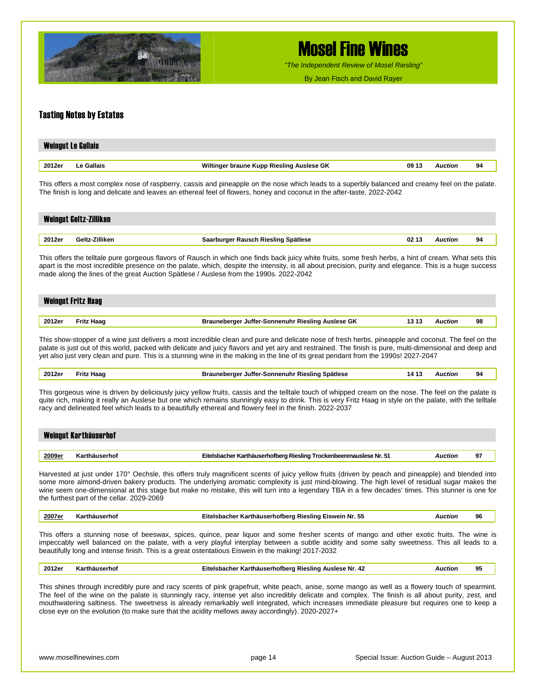

*"The Independent Review of Mosel Riesling"*

By Jean Fisch and David Rayer

### Tasting Notes by Estates

| <b>Weingut Le Gallais</b> |            |                                           |       |                |    |  |  |
|---------------------------|------------|-------------------------------------------|-------|----------------|----|--|--|
|                           |            |                                           |       |                |    |  |  |
| 2012er                    | Le Gallais | Wiltinger braune Kupp Riesling Auslese GK | 09 13 | <b>Auction</b> | 94 |  |  |

This offers a most complex nose of raspberry, cassis and pineapple on the nose which leads to a superbly balanced and creamy feel on the palate. The finish is long and delicate and leaves an ethereal feel of flowers, honey and coconut in the after-taste. 2022-2042

| Weingut Geltz-Zilliken |                |                                     |       |         |    |  |  |
|------------------------|----------------|-------------------------------------|-------|---------|----|--|--|
|                        |                |                                     |       |         |    |  |  |
| 2012er                 | Geltz-Zilliken | Saarburger Rausch Riesling Spätlese | 02 13 | Auction | 94 |  |  |

This offers the telltale pure gorgeous flavors of Rausch in which one finds back juicy white fruits, some fresh herbs, a hint of cream. What sets this apart is the most incredible presence on the palate, which, despite the intensity, is all about precision, purity and elegance. This is a huge success made along the lines of the great Auction Spätlese / Auslese from the 1990s. 2022-2042

| <b>Weingut Fritz Haag</b> |                   |                                                            |         |    |  |  |
|---------------------------|-------------------|------------------------------------------------------------|---------|----|--|--|
| 2012er                    | <b>Fritz Haag</b> | Brauneberger Juffer-Sonnenuhr Riesling Auslese GK<br>13 13 | Auction | 98 |  |  |
|                           |                   |                                                            |         |    |  |  |

This show-stopper of a wine just delivers a most incredible clean and pure and delicate nose of fresh herbs, pineapple and coconut. The feel on the palate is just out of this world, packed with delicate and juicy flavors and yet airy and restrained. The finish is pure, multi-dimensional and deep and yet also just very clean and pure. This is a stunning wine in the making in the line of its great pendant from the 1990s! 2027-2047

| 2012er | Haad<br>1 I L | Brauneberger Juffer-Sonnenuhr Riesling Spätlese | 141<br>ா | Auction | 94 |
|--------|---------------|-------------------------------------------------|----------|---------|----|
|        |               |                                                 |          |         |    |

This gorgeous wine is driven by deliciously juicy yellow fruits, cassis and the telltale touch of whipped cream on the nose. The feel on the palate is quite rich, making it really an Auslese but one which remains stunningly easy to drink. This is very Fritz Haag in style on the palate, with the telltale racy and delineated feel which leads to a beautifully ethereal and flowery feel in the finish. 2022-2037

|        | Weingut Karthäuserhof |                                                                     |                |    |
|--------|-----------------------|---------------------------------------------------------------------|----------------|----|
|        |                       |                                                                     |                |    |
| 2009er | Karthäuserhof         | Eitelsbacher Karthäuserhofberg Riesling Trockenbeerenauslese Nr. 51 | <b>Auction</b> | 97 |

Harvested at just under 170° Oechsle, this offers truly magnificent scents of juicy yellow fruits (driven by peach and pineapple) and blended into some more almond-driven bakery products. The underlying aromatic complexity is just mind-blowing. The high level of residual sugar makes the wine seem one-dimensional at this stage but make no mistake, this will turn into a legendary TBA in a few decades' times. This stunner is one for the furthest part of the cellar. 2029-2069

| 2007e | rno<br>. | ∵Eiswein Nr. .<br>r Karthäuserhofberg Riesling E<br>Eifelsbacher<br>. | -ти<br>. | 96 |
|-------|----------|-----------------------------------------------------------------------|----------|----|
|       |          |                                                                       |          |    |

This offers a stunning nose of beeswax, spices, quince, pear liquor and some fresher scents of mango and other exotic fruits. The wine is impeccably well balanced on the palate, with a very playful interplay between a subtle acidity and some salty sweetness. This all leads to a beautifully long and intense finish. This is a great ostentatious Eiswein in the making! 2017-2032

| 2012er | ъo | Auslese Nr.<br>. ^^^^ Kieslina Ausles<br><i>r</i> thauserhothero<br>$\overline{ }$<br>63.ZU | uction | ΩБ.<br>-- |
|--------|----|---------------------------------------------------------------------------------------------|--------|-----------|
|--------|----|---------------------------------------------------------------------------------------------|--------|-----------|

This shines through incredibly pure and racy scents of pink grapefruit, white peach, anise, some mango as well as a flowery touch of spearmint. The feel of the wine on the palate is stunningly racy, intense yet also incredibly delicate and complex. The finish is all about purity, zest, and mouthwatering saltiness. The sweetness is already remarkably well integrated, which increases immediate pleasure but requires one to keep a close eye on the evolution (to make sure that the acidity mellows away accordingly). 2020-2027+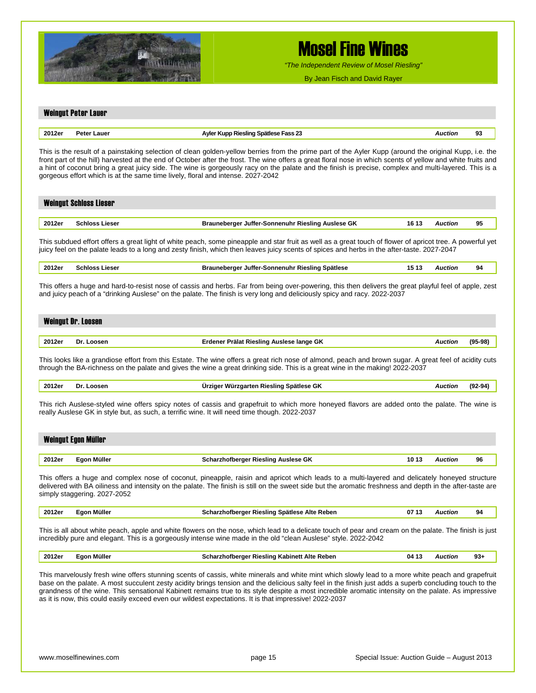

*"The Independent Review of Mosel Riesling"*

By Jean Fisch and David Rayer

| 2012er | <b>Peter Lauer</b>            | Ayler Kupp Riesling Spätlese Fass 23                                                                                                                                                                                                                                                                                                                                                                                                                                                                                                                              |       | <b>Auction</b>                                                                                                                                          | 93        |
|--------|-------------------------------|-------------------------------------------------------------------------------------------------------------------------------------------------------------------------------------------------------------------------------------------------------------------------------------------------------------------------------------------------------------------------------------------------------------------------------------------------------------------------------------------------------------------------------------------------------------------|-------|---------------------------------------------------------------------------------------------------------------------------------------------------------|-----------|
|        |                               | This is the result of a painstaking selection of clean golden-yellow berries from the prime part of the Ayler Kupp (around the original Kupp, i.e. the<br>front part of the hill) harvested at the end of October after the frost. The wine offers a great floral nose in which scents of yellow and white fruits and<br>a hint of coconut bring a great juicy side. The wine is gorgeously racy on the palate and the finish is precise, complex and multi-layered. This is a<br>gorgeous effort which is at the same time lively, floral and intense. 2027-2042 |       |                                                                                                                                                         |           |
|        | <b>Weingut Schloss Lieser</b> |                                                                                                                                                                                                                                                                                                                                                                                                                                                                                                                                                                   |       |                                                                                                                                                         |           |
| 2012er | <b>Schloss Lieser</b>         | Brauneberger Juffer-Sonnenuhr Riesling Auslese GK                                                                                                                                                                                                                                                                                                                                                                                                                                                                                                                 | 16 13 | <b>Auction</b>                                                                                                                                          | 95        |
|        |                               | This subdued effort offers a great light of white peach, some pineapple and star fruit as well as a great touch of flower of apricot tree. A powerful yet<br>juicy feel on the palate leads to a long and zesty finish, which then leaves juicy scents of spices and herbs in the after-taste. 2027-2047                                                                                                                                                                                                                                                          |       |                                                                                                                                                         |           |
| 2012er | <b>Schloss Lieser</b>         | Brauneberger Juffer-Sonnenuhr Riesling Spätlese                                                                                                                                                                                                                                                                                                                                                                                                                                                                                                                   | 15 13 | <b>Auction</b>                                                                                                                                          | 94        |
|        | <b>Weingut Dr. Loosen</b>     | This offers a huge and hard-to-resist nose of cassis and herbs. Far from being over-powering, this then delivers the great playful feel of apple, zest<br>and juicy peach of a "drinking Auslese" on the palate. The finish is very long and deliciously spicy and racy. 2022-2037                                                                                                                                                                                                                                                                                |       |                                                                                                                                                         |           |
|        |                               |                                                                                                                                                                                                                                                                                                                                                                                                                                                                                                                                                                   |       |                                                                                                                                                         |           |
| 2012er | Dr. Loosen                    | Erdener Prälat Riesling Auslese lange GK                                                                                                                                                                                                                                                                                                                                                                                                                                                                                                                          |       | <b>Auction</b>                                                                                                                                          | $(95-98)$ |
|        |                               | This looks like a grandiose effort from this Estate. The wine offers a great rich nose of almond, peach and brown sugar. A great feel of acidity cuts<br>through the BA-richness on the palate and gives the wine a great drinking side. This is a great wine in the making! 2022-2037                                                                                                                                                                                                                                                                            |       |                                                                                                                                                         |           |
| 2012er | Dr. Loosen                    | Ürziger Würzgarten Riesling Spätlese GK                                                                                                                                                                                                                                                                                                                                                                                                                                                                                                                           |       | <b>Auction</b>                                                                                                                                          | $(92-94)$ |
|        |                               | This rich Auslese-styled wine offers spicy notes of cassis and grapefruit to which more honeyed flavors are added onto the palate. The wine is<br>really Auslese GK in style but, as such, a terrific wine. It will need time though. 2022-2037                                                                                                                                                                                                                                                                                                                   |       |                                                                                                                                                         |           |
|        | Weingut Egon Müller           |                                                                                                                                                                                                                                                                                                                                                                                                                                                                                                                                                                   |       |                                                                                                                                                         |           |
| 2012er | Egon Müller                   | Scharzhofberger Riesling Auslese GK                                                                                                                                                                                                                                                                                                                                                                                                                                                                                                                               | 10 13 | <b>Auction</b>                                                                                                                                          | 96        |
|        | simply staggering. 2027-2052  | This offers a huge and complex nose of coconut, pineapple, raisin and apricot which leads to a multi-layered and delicately honeyed structure<br>delivered with BA oiliness and intensity on the palate. The finish is still on the sweet side but the aromatic freshness and depth in the after-taste are                                                                                                                                                                                                                                                        |       |                                                                                                                                                         |           |
| 2012er | Egon Müller                   | Scharzhofberger Riesling Spätlese Alte Reben                                                                                                                                                                                                                                                                                                                                                                                                                                                                                                                      | 0713  | Auction                                                                                                                                                 | 94        |
|        |                               | This is all about white peach, apple and white flowers on the nose, which lead to a delicate touch of pear and cream on the palate. The finish is just<br>incredibly pure and elegant. This is a gorgeously intense wine made in the old "clean Auslese" style. 2022-2042                                                                                                                                                                                                                                                                                         |       |                                                                                                                                                         |           |
|        | Egon Müller                   | Scharzhofberger Riesling Kabinett Alte Reben                                                                                                                                                                                                                                                                                                                                                                                                                                                                                                                      | 04 13 | Auction                                                                                                                                                 | $93+$     |
| 2012er |                               | This marvelously fresh wine offers stunning scents of cassis, white minerals and white mint which slowly lead to a more white peach and grapefruit                                                                                                                                                                                                                                                                                                                                                                                                                |       | base on the palate. A most succulent zesty acidity brings tension and the delicious salty feel in the finish just adds a superb concluding touch to the |           |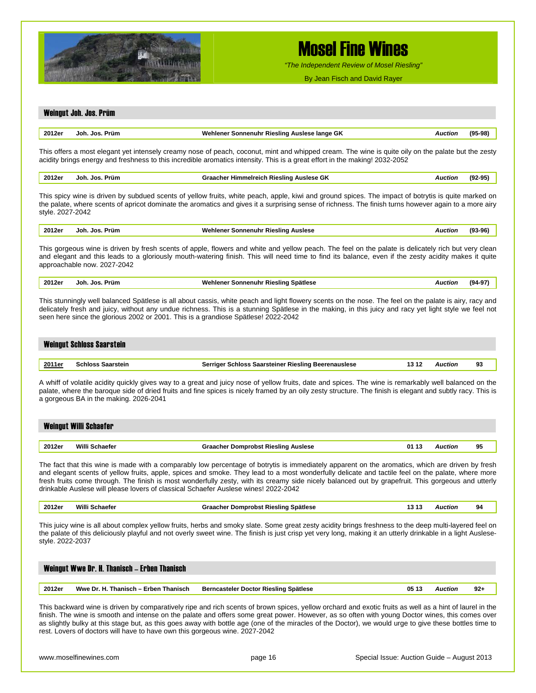

Weingut Joh. Jos. Prüm

## Mosel Fine Wines

*"The Independent Review of Mosel Riesling"*

By Jean Fisch and David Rayer

## **2012er Joh. Jos. Prüm Graacher Himmelreich Riesling Auslese GK** *Auction* **(92-95)** This spicy wine is driven by subdued scents of yellow fruits, white peach, apple, kiwi and ground spices. The impact of botrytis is quite marked on the palate, where scents of apricot dominate the aromatics and gives it a surprising sense of richness. The finish turns however again to a more airy style. 2027-2042 **2012er Joh. Jos. Prüm Wehlener Sonnenuhr Riesling Auslese** *Auction* **(93-96)** This gorgeous wine is driven by fresh scents of apple, flowers and white and yellow peach. The feel on the palate is delicately rich but very clean and elegant and this leads to a gloriously mouth-watering finish. This will need time to find its balance, even if the zesty acidity makes it quite approachable now. 2027-2042 **2012er Joh. Jos. Prüm Wehlener Sonnenuhr Riesling Spätlese** *Auction* **(94-97)** This stunningly well balanced Spätlese is all about cassis, white peach and light flowery scents on the nose. The feel on the palate is airy, racy and delicately fresh and juicy, without any undue richness. This is a stunning Spätlese in the making, in this juicy and racy yet light style we feel not seen here since the glorious 2002 or 2001. This is a grandiose Spätlese! 2022-2042 Weingut Schloss Saarstein **2011er Schloss Saarstein Serriger Schloss Saarsteiner Riesling Beerenauslese 13 12** *Auction* **93**  A whiff of volatile acidity quickly gives way to a great and juicy nose of yellow fruits, date and spices. The wine is remarkably well balanced on the palate, where the baroque side of dried fruits and fine spices is nicely framed by an oily zesty structure. The finish is elegant and subtly racy. This is a gorgeous BA in the making. 2026-2041 Weingut Willi Schaefer **2012er Willi Schaefer Graacher Domprobst Riesling Auslese 01 13** *Auction* **95**  The fact that this wine is made with a comparably low percentage of botrytis is immediately apparent on the aromatics, which are driven by fresh and elegant scents of yellow fruits, apple, spices and smoke. They lead to a most wonderfully delicate and tactile feel on the palate, where more fresh fruits come through. The finish is most wonderfully zesty, with its creamy side nicely balanced out by grapefruit. This gorgeous and utterly drinkable Auslese will please lovers of classical Schaefer Auslese wines! 2022-2042 **2012er Willi Schaefer Graacher Domprobst Riesling Spätlese 13 13** *Auction* **94**  This juicy wine is all about complex yellow fruits, herbs and smoky slate. Some great zesty acidity brings freshness to the deep multi-layered feel on the palate of this deliciously playful and not overly sweet wine. The finish is just crisp yet very long, making it an utterly drinkable in a light Auslesestyle. 2022-2037 Weingut Wwe Dr. H. Thanisch – Erben Thanisch **2012er Wwe Dr. H. Thanisch – Erben Thanisch Berncasteler Doctor Riesling Spätlese 05 13** *Auction* **92+**  This backward wine is driven by comparatively ripe and rich scents of brown spices, yellow orchard and exotic fruits as well as a hint of laurel in the finish. The wine is smooth and intense on the palate and offers some great power. However, as so often with young Doctor wines, this comes over as slightly bulky at this stage but, as this goes away with bottle age (one of the miracles of the Doctor), we would urge to give these bottles time to rest. Lovers of doctors will have to have own this gorgeous wine. 2027-2042

**2012er Joh. Jos. Prüm Wehlener Sonnenuhr Riesling Auslese lange GK** *Auction* **(95-98)**

This offers a most elegant yet intensely creamy nose of peach, coconut, mint and whipped cream. The wine is quite oily on the palate but the zesty

acidity brings energy and freshness to this incredible aromatics intensity. This is a great effort in the making! 2032-2052